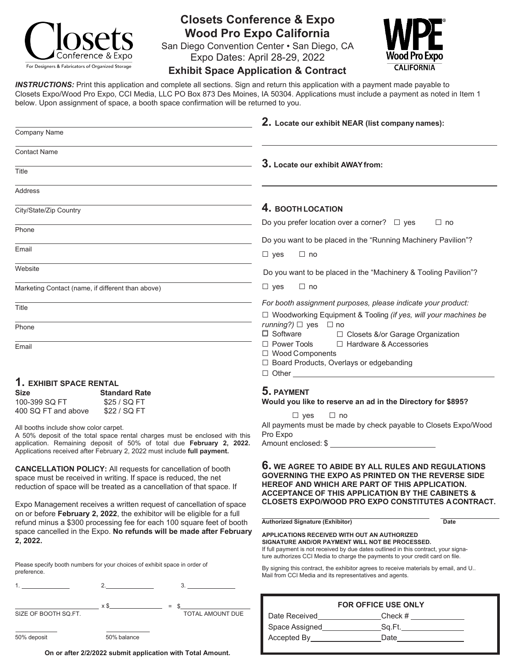

## **Closets Conference & Expo Wood Pro Expo California**

San Diego Convention Center • San Diego, CA Expo Dates: April 28-29, 2022



## **Exhibit Space Application & Contract**

*INSTRUCTIONS:* Print this application and complete all sections. Sign and return this application with a payment made payable to Closets Expo/Wood Pro Expo, CCI Media, LLC PO Box 873 Des Moines, IA 50304. Applications must include a payment as noted in Item 1 below. Upon assignment of space, a booth space confirmation will be returned to you.

|                                                                                                                                                                                                                 | 2. Locate our exhibit NEAR (list company names):                                                                                                                                                                                      |
|-----------------------------------------------------------------------------------------------------------------------------------------------------------------------------------------------------------------|---------------------------------------------------------------------------------------------------------------------------------------------------------------------------------------------------------------------------------------|
| Company Name                                                                                                                                                                                                    |                                                                                                                                                                                                                                       |
| <b>Contact Name</b>                                                                                                                                                                                             | 3. Locate our exhibit AWAY from:                                                                                                                                                                                                      |
| Title                                                                                                                                                                                                           |                                                                                                                                                                                                                                       |
| <b>Address</b>                                                                                                                                                                                                  |                                                                                                                                                                                                                                       |
| City/State/Zip Country                                                                                                                                                                                          | 4. BOOTH LOCATION                                                                                                                                                                                                                     |
| Phone                                                                                                                                                                                                           | Do you prefer location over a corner? $\Box$ yes<br>$\Box$ no                                                                                                                                                                         |
|                                                                                                                                                                                                                 | Do you want to be placed in the "Running Machinery Pavilion"?                                                                                                                                                                         |
| Email                                                                                                                                                                                                           | $\Box$ yes<br>$\Box$ no                                                                                                                                                                                                               |
| Website                                                                                                                                                                                                         | Do you want to be placed in the "Machinery & Tooling Pavilion"?                                                                                                                                                                       |
| Marketing Contact (name, if different than above)                                                                                                                                                               | $\Box$ yes<br>$\Box$ no                                                                                                                                                                                                               |
| Title                                                                                                                                                                                                           | For booth assignment purposes, please indicate your product:<br>□ Woodworking Equipment & Tooling (if yes, will your machines be                                                                                                      |
| Phone                                                                                                                                                                                                           | running?) $\Box$ yes $\Box$ no<br>$\Box$ Software<br>□ Closets &/or Garage Organization                                                                                                                                               |
| Email                                                                                                                                                                                                           | □ Hardware & Accessories<br>□ Power Tools<br>□ Wood Components<br>□ Board Products, Overlays or edgebanding                                                                                                                           |
| 1. EXHIBIT SPACE RENTAL                                                                                                                                                                                         |                                                                                                                                                                                                                                       |
| <b>Size</b><br><b>Standard Rate</b>                                                                                                                                                                             | 5. PAYMENT                                                                                                                                                                                                                            |
| 100-399 SQ FT<br>\$25 / SQ FT<br>400 SQ FT and above<br>\$22 / SQ FT                                                                                                                                            | Would you like to reserve an ad in the Directory for \$895?                                                                                                                                                                           |
|                                                                                                                                                                                                                 | $\Box$ yes<br>$\Box$ no                                                                                                                                                                                                               |
| All booths include show color carpet.<br>A 50% deposit of the total space rental charges must be enclosed with this                                                                                             | All payments must be made by check payable to Closets Expo/Wood<br>Pro Expo                                                                                                                                                           |
| application. Remaining deposit of 50% of total due February 2, 2022.<br>Applications received after February 2, 2022 must include full payment.                                                                 | Amount enclosed: \$                                                                                                                                                                                                                   |
| <b>CANCELLATION POLICY:</b> All requests for cancellation of booth<br>space must be received in writing. If space is reduced, the net<br>reduction of space will be treated as a cancellation of that space. If | <b>6.</b> WE AGREE TO ABIDE BY ALL RULES AND REGULATIONS<br><b>GOVERNING THE EXPO AS PRINTED ON THE REVERSE SIDE</b><br>HEREOF AND WHICH ARE PART OF THIS APPLICATION.<br><b>ACCEPTANCE OF THIS APPLICATION BY THE CABINETS &amp;</b> |
| Expo Management receives a written request of cancellation of space<br>on or before February 2, 2022, the exhibitor will be eligible for a full                                                                 | <b>CLOSETS EXPO/WOOD PRO EXPO CONSTITUTES ACONTRACT.</b>                                                                                                                                                                              |
| refund minus a \$300 processing fee for each 100 square feet of booth                                                                                                                                           | <b>Authorized Signature (Exhibitor)</b><br><b>Date</b>                                                                                                                                                                                |
| space cancelled in the Expo. No refunds will be made after February<br>2, 2022.                                                                                                                                 | <b>APPLICATIONS RECEIVED WITH OUT AN AUTHORIZED</b><br>SIGNATURE AND/OR PAYMENT WILL NOT BE PROCESSED.<br>If full payment is not received by due dates outlined in this contract, your signa-                                         |

Please specify booth numbers for your choices of exhibit space in order of preference.

1. 2. 3.

x \$ SIZE OF BOOTH SQ.FT. = \$

50% deposit 50% balance

**On or after 2/2/2022 submit application with Total Amount.**

TOTAL AMOUNT DUE

By signing this contract, the exhibitor agrees to receive materials by email, and U.. Mail from CCI Media and its representatives and agents.

ture authorizes CCI Media to charge the payments to your credit card on file.

| <b>FOR OFFICE USE ONLY</b> |         |
|----------------------------|---------|
| Date Received              | Check # |
| Space Assigned             | Sa.Ft.  |
| Accepted By                | Date    |
|                            |         |